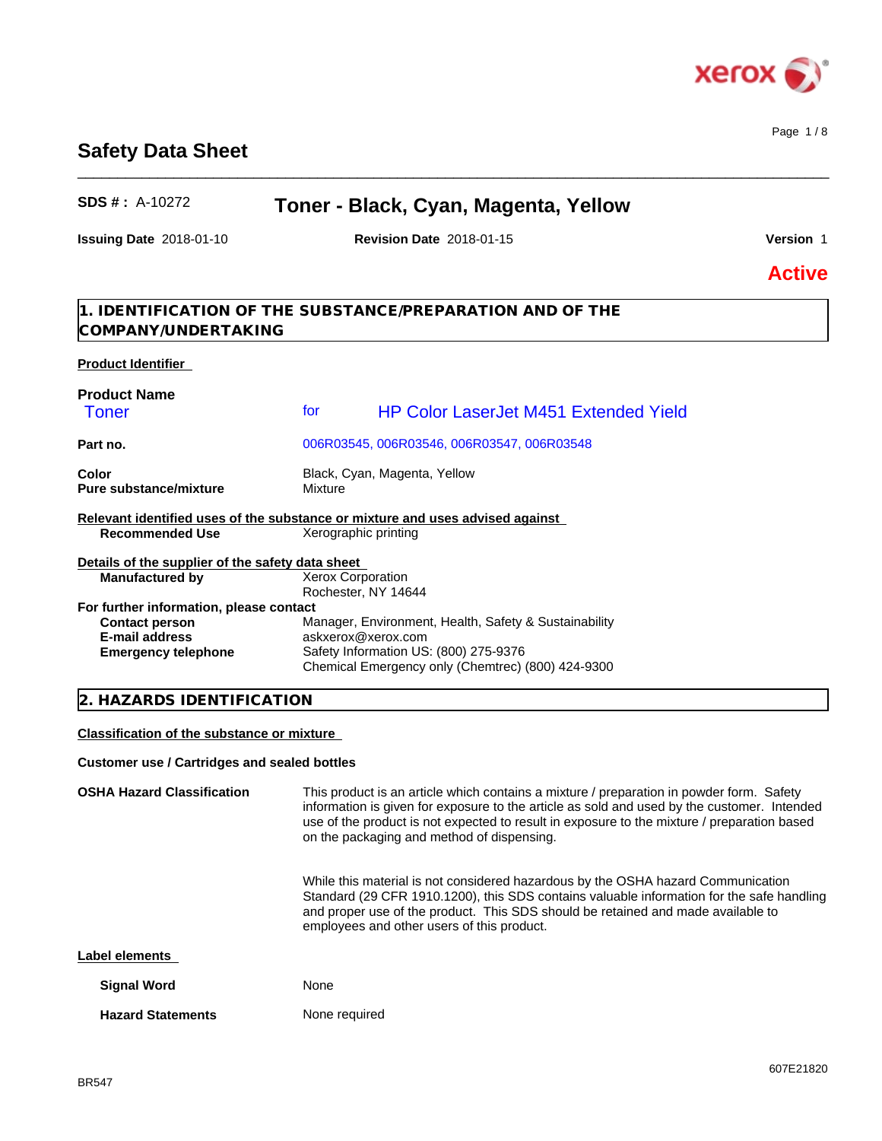

# **Safety Data Sheet**

# **SDS # :** A-10272 **Toner - Black, Cyan, Magenta, Yellow**

 $\_$  ,  $\_$  ,  $\_$  ,  $\_$  ,  $\_$  ,  $\_$  ,  $\_$  ,  $\_$  ,  $\_$  ,  $\_$  ,  $\_$  ,  $\_$  ,  $\_$  ,  $\_$  ,  $\_$  ,  $\_$  ,  $\_$  ,  $\_$  ,  $\_$  ,  $\_$  ,  $\_$  ,  $\_$  ,  $\_$  ,  $\_$  ,  $\_$  ,  $\_$  ,  $\_$  ,  $\_$  ,  $\_$  ,  $\_$  ,  $\_$  ,  $\_$  ,  $\_$  ,  $\_$  ,  $\_$  ,  $\_$  ,  $\_$  ,

**Issuing Date** 2018-01-10 **Revision Date** 2018-01-15 **Version** 1

Page 1 / 8

**Active**

**1. IDENTIFICATION OF THE SUBSTANCE/PREPARATION AND OF THE COMPANY/UNDERTAKING**

## **Product Identifier**

| <b>Product Name</b>                                                           |                      |                                                       |
|-------------------------------------------------------------------------------|----------------------|-------------------------------------------------------|
| <b>Toner</b>                                                                  | for                  | <b>HP Color LaserJet M451 Extended Yield</b>          |
| Part no.                                                                      |                      | 006R03545, 006R03546, 006R03547, 006R03548            |
| Color                                                                         |                      | Black, Cyan, Magenta, Yellow                          |
| Pure substance/mixture                                                        | Mixture              |                                                       |
| Relevant identified uses of the substance or mixture and uses advised against |                      |                                                       |
| <b>Recommended Use</b>                                                        | Xerographic printing |                                                       |
| Details of the supplier of the safety data sheet                              |                      |                                                       |
| <b>Manufactured by</b>                                                        | Xerox Corporation    |                                                       |
|                                                                               | Rochester, NY 14644  |                                                       |
| For further information, please contact                                       |                      |                                                       |
| <b>Contact person</b>                                                         |                      | Manager, Environment, Health, Safety & Sustainability |
| <b>E-mail address</b>                                                         | askxerox@xerox.com   |                                                       |
| <b>Emergency telephone</b>                                                    |                      | Safety Information US: (800) 275-9376                 |
|                                                                               |                      | Chemical Emergency only (Chemtrec) (800) 424-9300     |

## **2. HAZARDS IDENTIFICATION**

**Classification of the substance or mixture**

#### **Customer use / Cartridges and sealed bottles**

**OSHA Hazard Classification** This product is an article which contains a mixture / preparation in powder form. Safety information is given for exposure to the article as sold and used by the customer. Intended use of the product is not expected to result in exposure to the mixture / preparation based on the packaging and method of dispensing. While this material is not considered hazardous by the OSHA hazard Communication Standard (29 CFR 1910.1200), this SDS contains valuable information for the safe handling and proper use of the product. This SDS should be retained and made available to employees and other users of this product. **Label elements Signal Word** None **Hazard Statements** None required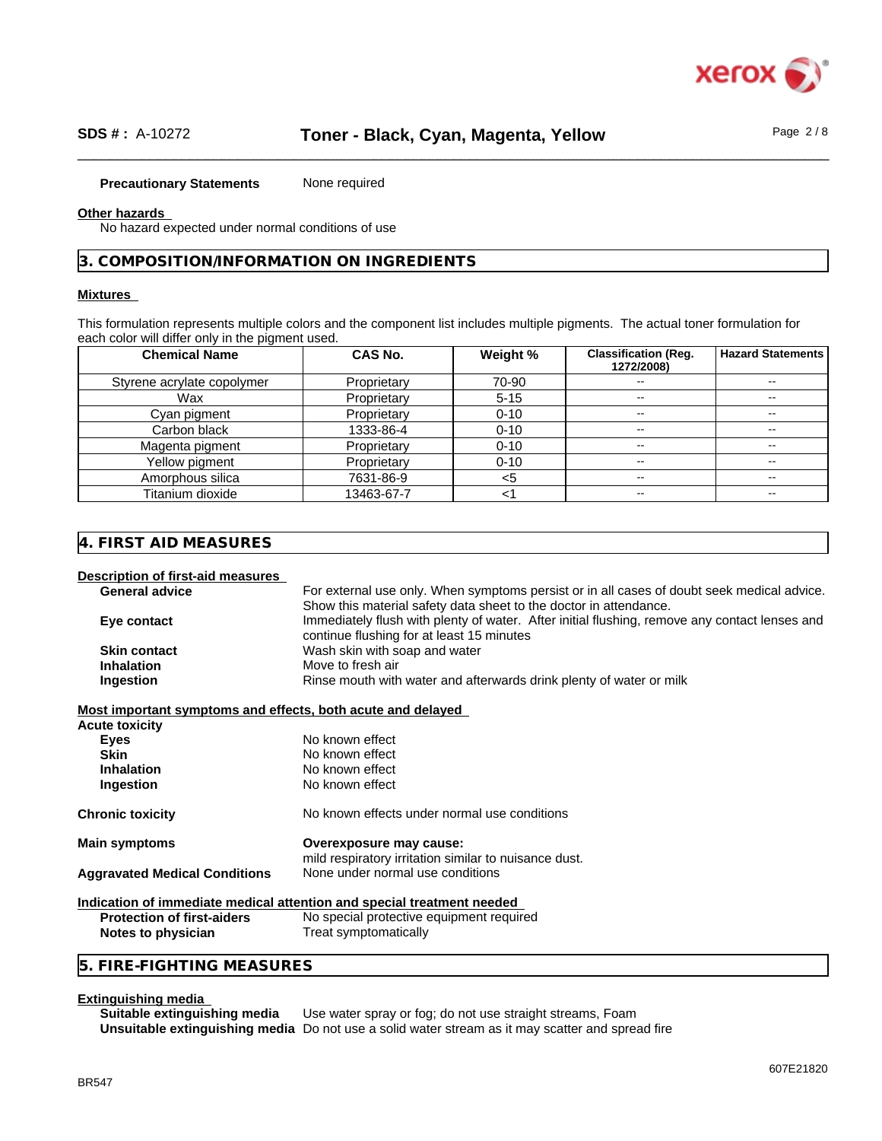

#### **Precautionary Statements** None required

#### **Other hazards**

No hazard expected under normal conditions of use

### **3. COMPOSITION/INFORMATION ON INGREDIENTS**

## **Mixtures**

This formulation represents multiple colors and the component list includes multiple pigments. The actual toner formulation for each color will differ only in the pigment used.

| <b>Chemical Name</b>       | <b>CAS No.</b> | Weight % | <b>Classification (Reg.</b><br>1272/2008) | <b>Hazard Statements</b> |
|----------------------------|----------------|----------|-------------------------------------------|--------------------------|
| Styrene acrylate copolymer | Proprietary    | 70-90    | $\overline{\phantom{m}}$                  | --                       |
| Wax                        | Proprietary    | $5 - 15$ | $\overline{\phantom{a}}$                  | --                       |
| Cyan pigment               | Proprietary    | $0 - 10$ | $\overline{\phantom{a}}$                  | --                       |
| Carbon black               | 1333-86-4      | $0 - 10$ | $- -$                                     |                          |
| Magenta pigment            | Proprietary    | $0 - 10$ | $- -$                                     | --                       |
| Yellow pigment             | Proprietary    | $0 - 10$ | $- -$                                     |                          |
| Amorphous silica           | 7631-86-9      |          | $\overline{\phantom{a}}$                  | --                       |
| Titanium dioxide           | 13463-67-7     |          | $- -$                                     | --                       |

## **4. FIRST AID MEASURES**

**Description of first-aid measures** General advice **For external use only.** When symptoms persist or in all cases of doubt seek medical advice. Show this material safety data sheet to the doctor in attendance. **Eye contact** Immediately flush with plenty of water. After initial flushing, remove any contact lenses and continue flushing for at least 15 minutes **Skin contact** Wash skin with soap and water **Inhalation** Move to fresh air **Ingestion Rinse mouth with water and afterwards drink plenty of water or milk** 

**Most important symptoms and effects, both acute and delayed**

| <b>Acute toxicity</b>                |                                                                                  |  |
|--------------------------------------|----------------------------------------------------------------------------------|--|
| Eyes                                 | No known effect                                                                  |  |
| <b>Skin</b>                          | No known effect                                                                  |  |
| <b>Inhalation</b>                    | No known effect                                                                  |  |
| Ingestion                            | No known effect                                                                  |  |
| <b>Chronic toxicity</b>              | No known effects under normal use conditions                                     |  |
| <b>Main symptoms</b>                 | Overexposure may cause:<br>mild respiratory irritation similar to nuisance dust. |  |
| <b>Aggravated Medical Conditions</b> | None under normal use conditions                                                 |  |
|                                      | Indication of immediate medical attention and special treatment needed           |  |
| Protection of firet-sidere           | No special protective equipment required                                         |  |

**rotection of first-aiders** No special protective equipment required **Notes to physician** Treat symptomatically

## **5. FIRE-FIGHTING MEASURES**

#### **Extinguishing media**

**Suitable extinguishing media** Use water spray or fog; do not use straight streams, Foam **Unsuitable extinguishing media** Do not use a solid water stream as it may scatterand spread fire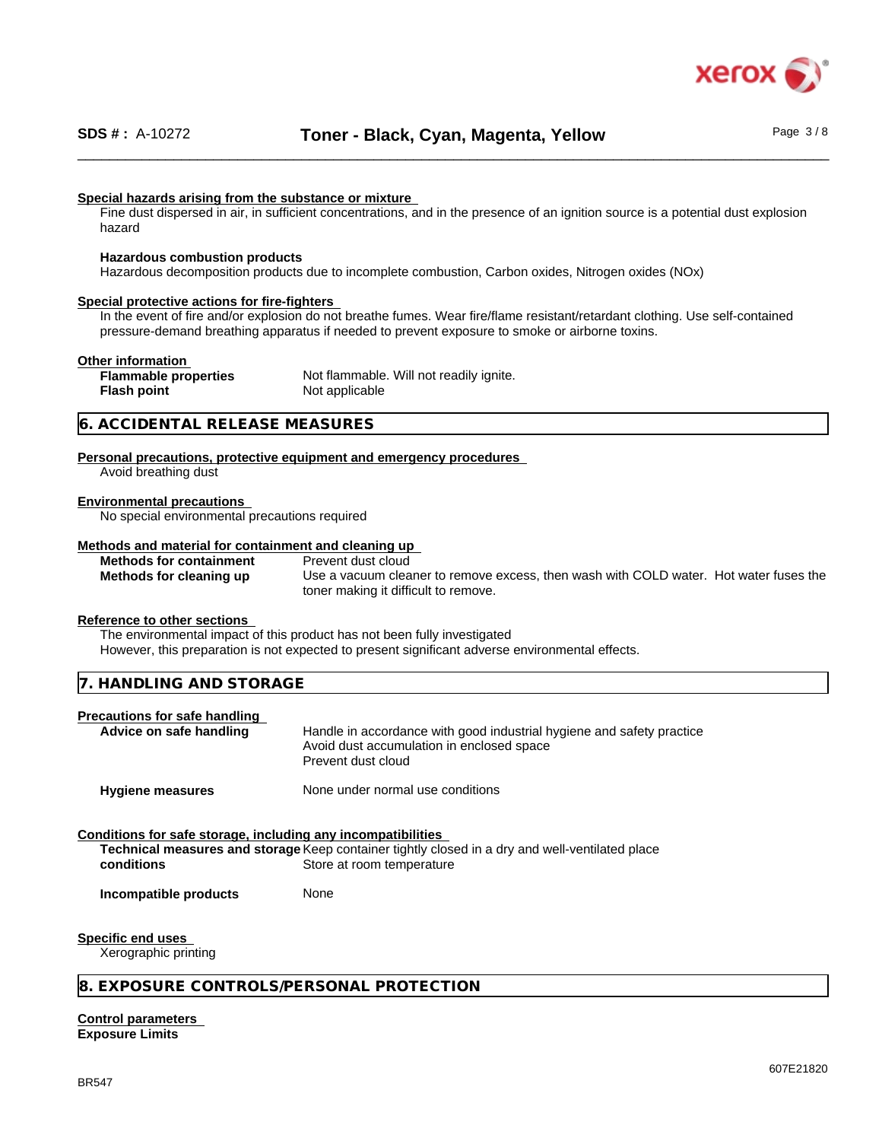

## **Special hazards arising from the substance or mixture**

Fine dust dispersed in air, in sufficient concentrations, and in the presence of an ignition source is a potential dust explosion hazard

#### **Hazardous combustion products**

Hazardous decomposition products due to incomplete combustion, Carbon oxides, Nitrogen oxides (NOx)

#### **Special protective actions for fire-fighters**

In the event of fire and/or explosion do not breathe fumes. Wear fire/flame resistant/retardant clothing. Use self-contained pressure-demand breathing apparatus if needed to prevent exposure to smoke or airborne toxins.

#### **Other information**

**Flash point** Not applicable

**Flammable properties** Not flammable. Will not readily ignite.

## **6. ACCIDENTAL RELEASE MEASURES**

**Personal precautions, protective equipment and emergency procedures** Avoid breathing dust

#### **Environmental precautions**

No special environmental precautions required

#### **Methods and material for containment and cleaning up Methods for containment** Prevent dust cloud

**Methods for cleaning up** Use a vacuum cleaner to remove excess, then wash with COLD water. Hot water fuses the toner making it difficult to remove.

#### **Reference to other sections**

The environmental impact of this product has not been fully investigated

However, this preparation is not expected to present significant adverse environmental effects.

| 7. HANDLING AND STORAGE |  |
|-------------------------|--|
|-------------------------|--|

#### **Precautions for safe handling**

| Advice on safe handling | Handle in accordance with good industrial hygiene and safety practice<br>Avoid dust accumulation in enclosed space |
|-------------------------|--------------------------------------------------------------------------------------------------------------------|
|                         | Prevent dust cloud                                                                                                 |

**Hygiene measures** None under normal use conditions

## **Conditions for safe storage, including any incompatibilities**

**Technical measures and storage** Keep container tightly closed in a dry and well-ventilated place **conditions** Store at room temperature

**Incompatible products** None

#### **Specific end uses**

Xerographic printing

#### **8. EXPOSURE CONTROLS/PERSONAL PROTECTION**

**Control parameters Exposure Limits**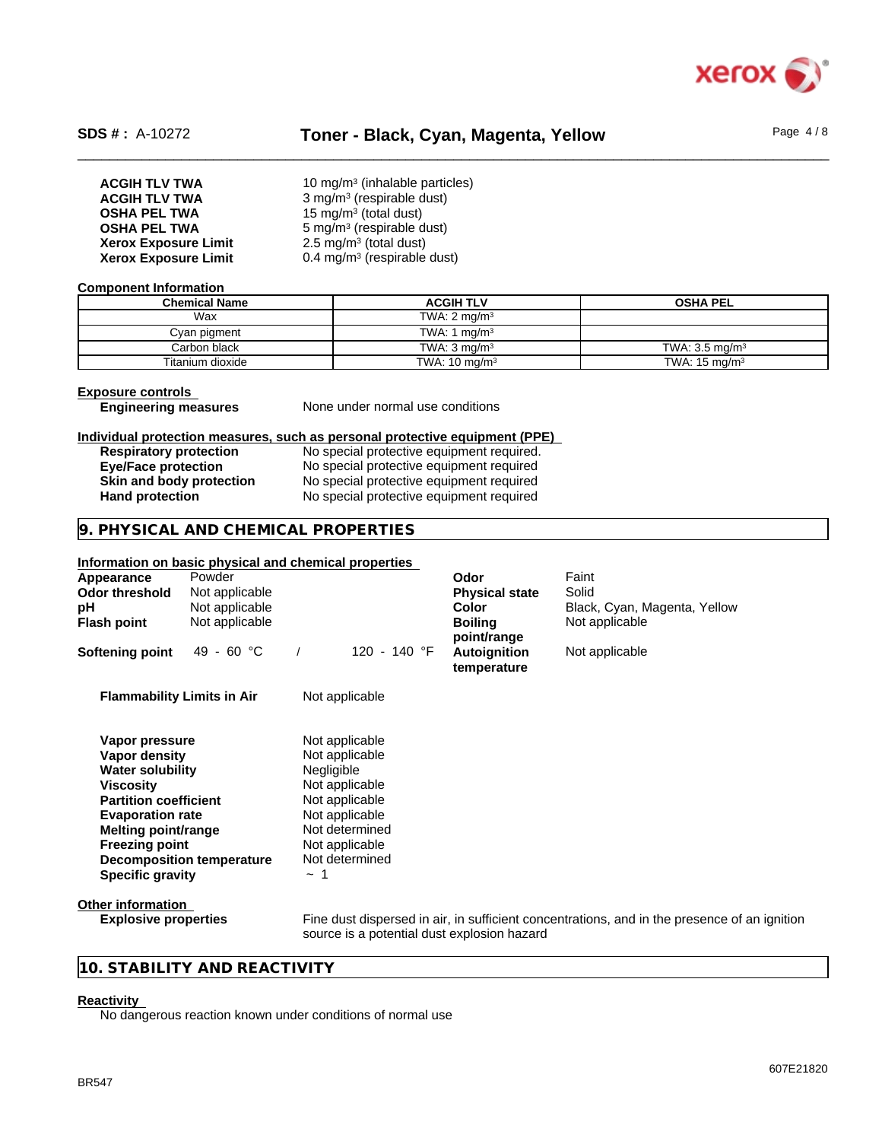

# SDS #: A-10272 **Toner - Black, Cyan, Magenta, Yellow** Page 4/8

| <b>ACGIH TLV TWA</b>        | 10 mg/m <sup>3</sup> (inhalable particles) |
|-----------------------------|--------------------------------------------|
| <b>ACGIH TLV TWA</b>        | $3$ mg/m <sup>3</sup> (respirable dust)    |
| <b>OSHA PEL TWA</b>         | 15 mg/m <sup>3</sup> (total dust)          |
| <b>OSHA PEL TWA</b>         | $5 \text{ mg/m}^3$ (respirable dust)       |
| <b>Xerox Exposure Limit</b> | 2.5 mg/m <sup>3</sup> (total dust)         |
| <b>Xerox Exposure Limit</b> | $0.4$ mg/m <sup>3</sup> (respirable dust)  |

#### **Component Information**

| <b>Chemical Name</b> | <b>ACGIH TLV</b>         | <b>OSHA PEL</b>           |
|----------------------|--------------------------|---------------------------|
| Wax                  | TWA: $2 \text{ ma/m}^3$  |                           |
| Cyan pigment         | TWA: 1 $ma/m3$           |                           |
| Carbon black l       | TWA: $3 \text{ ma/m}^3$  | TWA: $3.5 \text{ mg/m}^3$ |
| Titanium dioxide     | TWA: $10 \text{ mg/m}^3$ | TWA: $15 \text{ mg/m}^3$  |

## **Exposure controls**

**Engineering measures** None under normal use conditions

#### **Individual protection measures, such as personal protective equipment (PPE)**

| <b>Respiratory protection</b> | No special protective equipment required. |
|-------------------------------|-------------------------------------------|
| <b>Eye/Face protection</b>    | No special protective equipment required  |
| Skin and body protection      | No special protective equipment required  |
| <b>Hand protection</b>        | No special protective equipment required  |

## **9. PHYSICAL AND CHEMICAL PROPERTIES**

## **Information on basic physical and chemical properties**

| Appearance<br><b>Odor threshold</b><br>рH<br>Flash point | Powder<br>Not applicable<br>Not applicable<br>Not applicable |                                             | Odor<br><b>Physical state</b><br><b>Color</b><br><b>Boiling</b><br>point/range | Faint<br>Solid<br>Black, Cyan, Magenta, Yellow<br>Not applicable                             |
|----------------------------------------------------------|--------------------------------------------------------------|---------------------------------------------|--------------------------------------------------------------------------------|----------------------------------------------------------------------------------------------|
| Softening point                                          | 49 - 60 °C                                                   | 120 - 140 °F                                | Autoignition<br>temperature                                                    | Not applicable                                                                               |
| <b>Flammability Limits in Air</b>                        |                                                              | Not applicable                              |                                                                                |                                                                                              |
| Vapor pressure                                           |                                                              | Not applicable                              |                                                                                |                                                                                              |
| Vapor density                                            |                                                              | Not applicable                              |                                                                                |                                                                                              |
| <b>Water solubility</b>                                  |                                                              | Negligible                                  |                                                                                |                                                                                              |
| <b>Viscosity</b>                                         |                                                              | Not applicable                              |                                                                                |                                                                                              |
| <b>Partition coefficient</b>                             |                                                              | Not applicable                              |                                                                                |                                                                                              |
| <b>Evaporation rate</b>                                  |                                                              | Not applicable                              |                                                                                |                                                                                              |
| Melting point/range                                      |                                                              | Not determined                              |                                                                                |                                                                                              |
| <b>Freezing point</b>                                    |                                                              | Not applicable                              |                                                                                |                                                                                              |
|                                                          | <b>Decomposition temperature</b>                             | Not determined                              |                                                                                |                                                                                              |
| <b>Specific gravity</b>                                  |                                                              | $\sim$ 1                                    |                                                                                |                                                                                              |
| Other information                                        |                                                              |                                             |                                                                                |                                                                                              |
| <b>Explosive properties</b>                              |                                                              | source is a potential dust explosion hazard |                                                                                | Fine dust dispersed in air, in sufficient concentrations, and in the presence of an ignition |

## **10. STABILITY AND REACTIVITY**

## **Reactivity**

No dangerous reaction known under conditions of normal use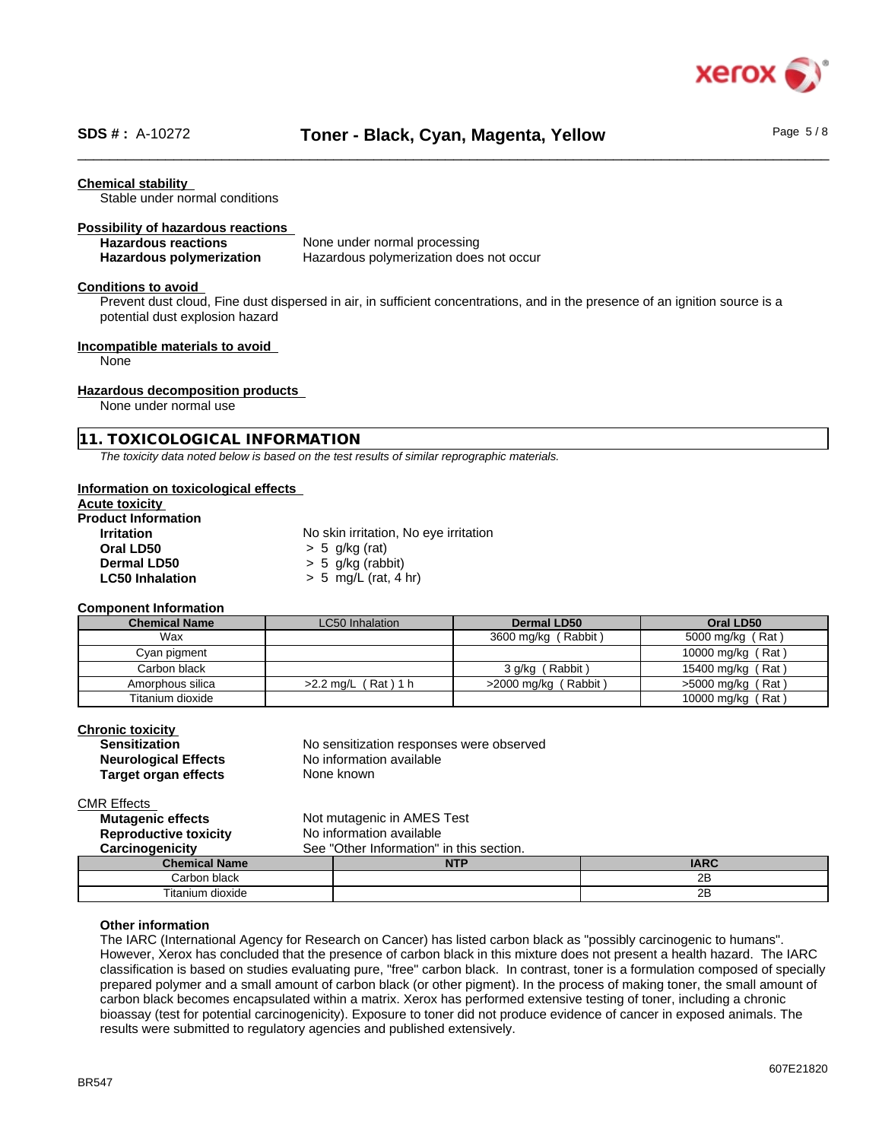

#### **Chemical stability**

Stable under normal conditions

#### **Possibility of hazardous reactions**

| <b>Hazardous reactions</b>      | None under normal processing            |
|---------------------------------|-----------------------------------------|
| <b>Hazardous polymerization</b> | Hazardous polymerization does not occur |

#### **Conditions to avoid**

Prevent dust cloud, Fine dust dispersed in air, in sufficient concentrations, and in the presence of an ignition source is a potential dust explosion hazard

#### **Incompatible materials to avoid**

None

#### **Hazardous decomposition products**

None under normal use

#### **11. TOXICOLOGICAL INFORMATION**

*The toxicity data noted below is based on the test results of similar reprographic materials.*

#### **Information on toxicological effects**

## **Acute toxicity**

| <b>Product Information</b> |                                       |
|----------------------------|---------------------------------------|
| <b>Irritation</b>          | No skin irritation, No eye irritation |
| Oral LD50                  | $> 5$ g/kg (rat)                      |
| <b>Dermal LD50</b>         | $> 5$ g/kg (rabbit)                   |
| <b>LC50 Inhalation</b>     | $> 5$ mg/L (rat, 4 hr)                |

#### **Component Information**

| <b>Chemical Name</b> | <b>LC50</b> Inhalation     | <b>Dermal LD50</b>     | Oral LD50           |
|----------------------|----------------------------|------------------------|---------------------|
| Wax                  |                            | 3600 mg/kg (Rabbit)    | 5000 mg/kg (Rat)    |
| Cyan pigment         |                            |                        | 10000 mg/kg (Rat)   |
| Carbon black         |                            | 3 g/kg (Rabbit)        | 15400 mg/kg (Rat)   |
| Amorphous silica     | $(Rat)$ 1 h<br>$>2.2$ ma/L | $>2000$ mg/kg (Rabbit) | $>5000$ mg/kg (Rat) |
| Titanium dioxide     |                            |                        | 10000 mg/kg (Rat)   |

| Chronic toxicitv            |                                          |
|-----------------------------|------------------------------------------|
| <b>Sensitization</b>        | No sensitization responses were observed |
| <b>Neurological Effects</b> | No information available                 |
| Target organ effects        | None known                               |
|                             |                                          |

CMR Effects

| <b>Mutagenic effects</b>     |                                          | Not mutagenic in AMES Test |             |
|------------------------------|------------------------------------------|----------------------------|-------------|
| <b>Reproductive toxicity</b> | No information available                 |                            |             |
| Carcinogenicity              | See "Other Information" in this section. |                            |             |
| <b>Chemical Name</b>         |                                          | <b>NTP</b>                 | <b>IARC</b> |
| Carbon black                 |                                          |                            | 2B          |
| Titanium dioxide             |                                          |                            | 2B          |

#### **Other information**

The IARC (International Agency for Research on Cancer) has listed carbon black as "possibly carcinogenic to humans". However, Xerox has concluded that the presence of carbon black in this mixture does not present a health hazard. The IARC classification is based on studies evaluating pure, "free" carbon black. In contrast, toner is a formulation composed of specially prepared polymer and a small amount of carbon black (or other pigment). In the process of making toner, the small amount of carbon black becomes encapsulated within a matrix. Xerox has performed extensive testing of toner, including a chronic bioassay (test for potential carcinogenicity). Exposure to toner did not produce evidence of cancer in exposed animals. The results were submitted to regulatory agencies and published extensively.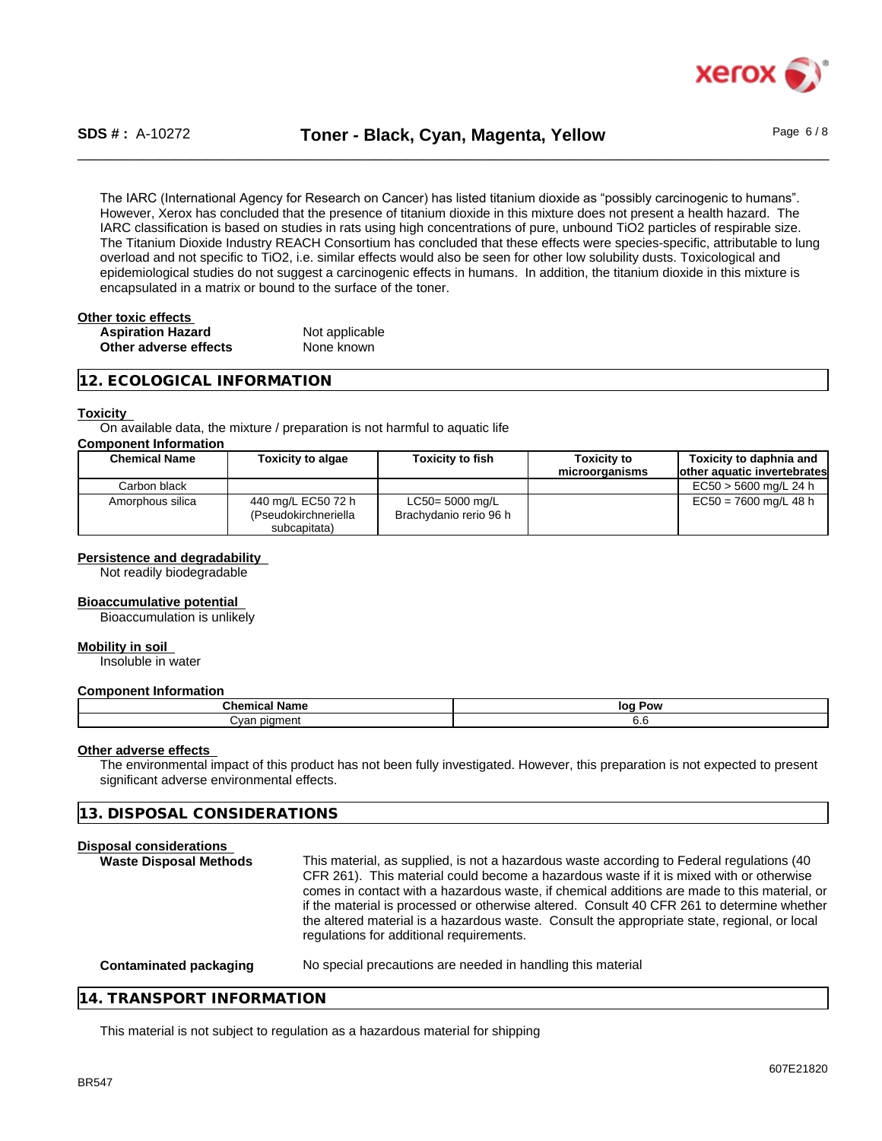

# \_\_\_\_\_\_\_\_\_\_\_\_\_\_\_\_\_\_\_\_\_\_\_\_\_\_\_\_\_\_\_\_\_\_\_\_\_\_\_\_\_\_\_\_\_\_\_\_\_\_\_\_\_\_\_\_\_\_\_\_\_\_\_\_\_\_\_\_\_\_\_\_\_\_\_\_\_\_\_\_\_\_\_\_\_\_\_\_\_\_\_\_\_\_ **SDS # :** A-10272 **Toner - Black, Cyan, Magenta, Yellow** Page 6 / 8

The IARC (International Agency for Research on Cancer) has listed titanium dioxide as "possibly carcinogenic to humans". However, Xerox has concluded that the presence of titanium dioxide in this mixture does not present a health hazard. The IARC classification is based on studies in rats using high concentrations of pure, unbound TiO2 particles of respirable size. The Titanium Dioxide Industry REACH Consortium has concluded that these effects were species-specific, attributable to lung overload and not specific to TiO2, i.e. similar effects would also be seen for other low solubility dusts. Toxicological and epidemiological studies do not suggest a carcinogenic effects in humans. In addition, the titanium dioxide in this mixture is encapsulated in a matrix or bound to the surface of the toner.

| Other toxic effects      |                |  |
|--------------------------|----------------|--|
| <b>Aspiration Hazard</b> | Not applicable |  |
| Other adverse effects    | None known     |  |

## **12. ECOLOGICAL INFORMATION**

#### **Toxicity**

On available data, the mixture / preparation is not harmful to aquatic life

## **Component Information**

| <b>Chemical Name</b> | <b>Toxicity to algae</b>                                   | <b>Toxicity to fish</b>                   | Toxicitv to<br>microorganisms | Toxicity to daphnia and<br>lother aquatic invertebrates |
|----------------------|------------------------------------------------------------|-------------------------------------------|-------------------------------|---------------------------------------------------------|
| Carbon black         |                                                            |                                           |                               | EC50 > 5600 mg/L 24 h                                   |
| Amorphous silica     | 440 mg/L EC50 72 h<br>(Pseudokirchneriella<br>subcapitata) | LC50= 5000 mg/L<br>Brachydanio rerio 96 h |                               | $EC50 = 7600$ mg/L 48 h                                 |

#### **Persistence and degradability**

Not readily biodegradable

#### **Bioaccumulative potential**

Bioaccumulation is unlikely

#### **Mobility in soil**

Insoluble in water

#### **Component Information**

| Chemical                                 | loa |
|------------------------------------------|-----|
| Name                                     | Pow |
| <b>DIOMADI</b><br>`wan<br>יו וסוו<br>var | v.u |

#### **Other adverse effects**

The environmental impact of this product has not been fully investigated. However, this preparation is not expected to present significant adverse environmental effects.

| <b>Disposal considerations</b><br><b>Waste Disposal Methods</b> | This material, as supplied, is not a hazardous waste according to Federal regulations (40<br>CFR 261). This material could become a hazardous waste if it is mixed with or otherwise<br>comes in contact with a hazardous waste, if chemical additions are made to this material, or<br>if the material is processed or otherwise altered. Consult 40 CFR 261 to determine whether<br>the altered material is a hazardous waste. Consult the appropriate state, regional, or local<br>regulations for additional requirements. |
|-----------------------------------------------------------------|--------------------------------------------------------------------------------------------------------------------------------------------------------------------------------------------------------------------------------------------------------------------------------------------------------------------------------------------------------------------------------------------------------------------------------------------------------------------------------------------------------------------------------|
| Contaminated packaging                                          | No special precautions are needed in handling this material                                                                                                                                                                                                                                                                                                                                                                                                                                                                    |

#### **14. TRANSPORT INFORMATION**

**13. DISPOSAL CONSIDERATIONS**

This material is not subject to regulation as a hazardous material for shipping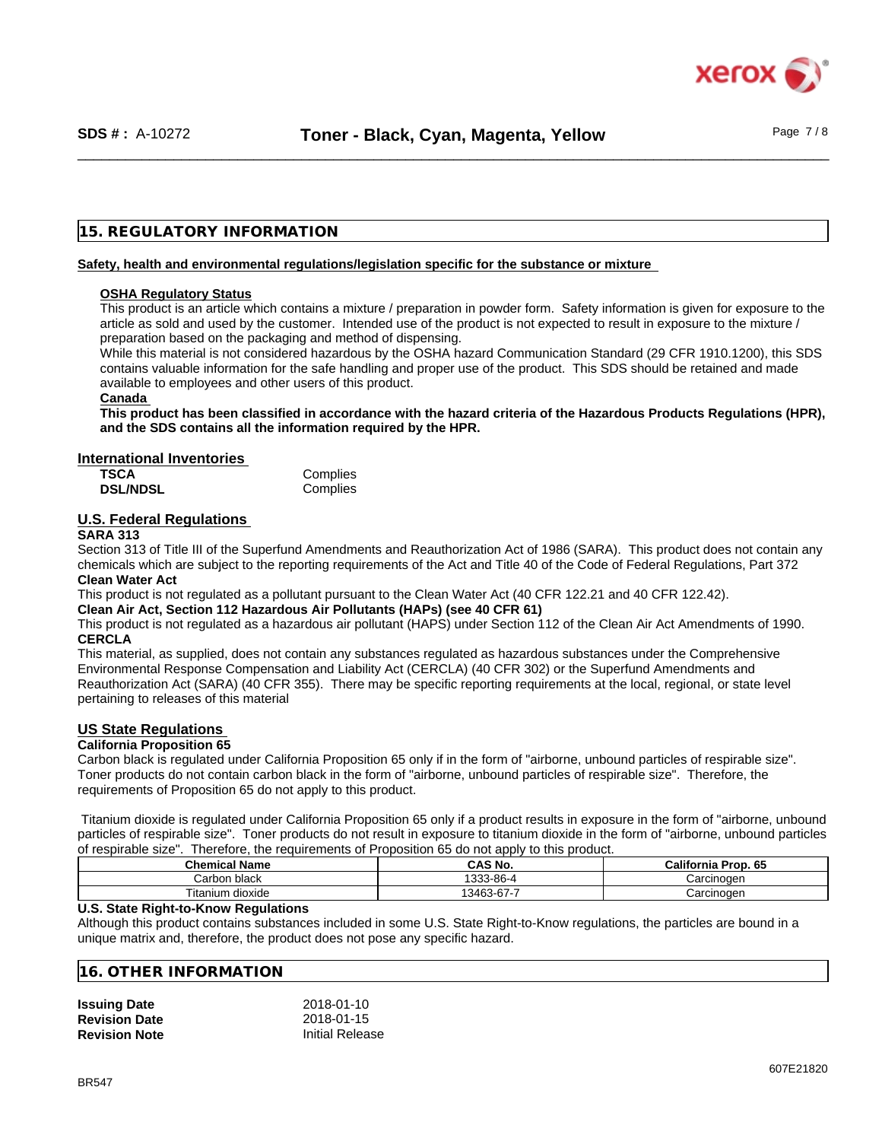

## **15. REGULATORY INFORMATION**

#### **Safety, health and environmental regulations/legislation specific for the substance or mixture**

#### **OSHA Regulatory Status**

This product is an article which contains a mixture / preparation in powder form. Safety information is given for exposure to the article as sold and used by the customer. Intended use of the product is not expected to result in exposure to the mixture / preparation based on the packaging and method of dispensing.

While this material is not considered hazardous by the OSHA hazard Communication Standard (29 CFR 1910.1200), this SDS contains valuable information for the safe handling and proper use of the product. This SDS should be retained and made available to employees and other users of this product.

#### **Canada**

This product has been classified in accordance with the hazard criteria of the Hazardous Products Regulations (HPR), **and the SDS contains all the information required by the HPR.**

#### **International Inventories**

| <b>TSCA</b>     | Complies |
|-----------------|----------|
| <b>DSL/NDSL</b> | Complies |

## **U.S. Federal Regulations**

#### **SARA 313**

Section 313 of Title III of the Superfund Amendments and Reauthorization Act of 1986 (SARA). This product does not contain any chemicals which are subject to the reporting requirements of the Act and Title 40 of the Code of Federal Regulations, Part 372 **Clean Water Act**

This product is not regulated as a pollutant pursuant to the Clean Water Act (40 CFR 122.21 and 40 CFR 122.42).

**Clean Air Act,Section 112 Hazardous Air Pollutants (HAPs) (see 40 CFR 61)**

This product is not regulated as a hazardous air pollutant (HAPS) under Section 112 of the Clean Air Act Amendments of 1990. **CERCLA**

This material, as supplied, does not contain any substances regulated as hazardous substances under the Comprehensive Environmental Response Compensation and Liability Act (CERCLA) (40 CFR 302) or the Superfund Amendments and Reauthorization Act (SARA) (40 CFR 355). There may be specific reporting requirements at the local, regional, or state level pertaining to releases of this material

## **US State Regulations**

#### **California Proposition 65**

Carbon black is regulated under California Proposition 65 only if in the form of "airborne, unbound particles of respirable size". Toner products do not contain carbon black in the form of "airborne, unbound particles of respirable size". Therefore, the requirements of Proposition 65 do not apply to this product.

Titanium dioxide is regulated under California Proposition 65 only if a product results in exposure in the form of "airborne, unbound particles of respirable size". Toner products do not result in exposure to titanium dioxide in the form of "airborne, unbound particles of respirable size". Therefore, the requirements of Proposition 65 do not apply to this product.

| <b>Chemical Name</b>  | $^{\small{\textsf{T}}}\mathsf{AS}$ No. | California<br>^^<br>Prop. 65 |
|-----------------------|----------------------------------------|------------------------------|
| ' arbon۔<br>black     | .000<br>3-86-4                         | Carcinoden                   |
| Titanium<br>ı dioxide | $13463-67 - 1$                         | Carcinogen                   |

#### **U.S. State Right-to-Know Regulations**

Although this product contains substances included in some U.S. State Right-to-Know regulations, the particles are bound in a unique matrix and, therefore, the product does not pose any specific hazard.

#### **16. OTHER INFORMATION**

| <b>Issuing Date</b>  | 2018-01-10             |
|----------------------|------------------------|
| <b>Revision Date</b> | 2018-01-15             |
| <b>Revision Note</b> | <b>Initial Release</b> |